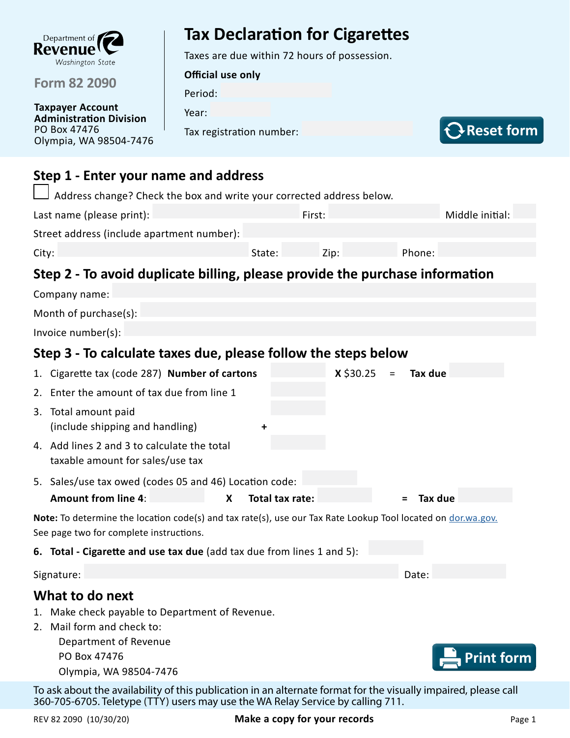

**Form 82 2090**

**Taxpayer Account Administration Division** PO Box 47476 Olympia, WA 98504-7476

# **Tax Declaration for Cigarettes**

Taxes are due within 72 hours of possession.

**Official use only**

Period:

Year:

Tax registration number:



## **Step 1 - Enter your name and address**

| Step 2 - To avoid duplicate billing, please provide the purchase information |        |        |        |                 |  |  |  |  |  |
|------------------------------------------------------------------------------|--------|--------|--------|-----------------|--|--|--|--|--|
| City:                                                                        | State: | Zip:   | Phone: |                 |  |  |  |  |  |
| Street address (include apartment number):                                   |        |        |        |                 |  |  |  |  |  |
| Last name (please print):                                                    |        | First: |        | Middle initial: |  |  |  |  |  |
| $\Box$ Address change? Check the box and write your corrected address below. |        |        |        |                 |  |  |  |  |  |

| Step 3 - To calculate taxes due, please follow the steps below |  |  |                         |         |  |  |  |
|----------------------------------------------------------------|--|--|-------------------------|---------|--|--|--|
|                                                                |  |  |                         |         |  |  |  |
|                                                                |  |  |                         |         |  |  |  |
|                                                                |  |  |                         |         |  |  |  |
|                                                                |  |  |                         |         |  |  |  |
|                                                                |  |  |                         |         |  |  |  |
| 5. Sales/use tax owed (codes 05 and 46) Location code:         |  |  |                         |         |  |  |  |
|                                                                |  |  | $x \, \text{ } 30.25 =$ | Tax due |  |  |  |

**Amount from line 4**: **X Total tax rate: = Tax due**

**Note:** To determine the location code(s) and tax rate(s), use our Tax Rate Lookup Tool located on [dor.wa.gov.](http://dor.wa.gov. ) See page two for complete instructions.

**6. Total - Cigarette and use tax due** (add tax due from lines 1 and 5):

Signature: Date: Date: Date: Date: Date: Date: Date: Date: Date: Date: Date: Date: Date: Date: Date: Date: Date: Date: Date: Date: Date: Date: Date: Date: Date: Date: Date: Date: Date: Date: Date: Date: Date: Date: Date: D

### **What to do next**

- 1. Make check payable to Department of Revenue.
- 2. Mail form and check to:

Department of Revenue PO Box 47476 Olympia, WA 98504-7476



To ask about the availability of this publication in an alternate format for the visually impaired, please call 360-705-6705. Teletype (TTY) users may use the WA Relay Service by calling 711.